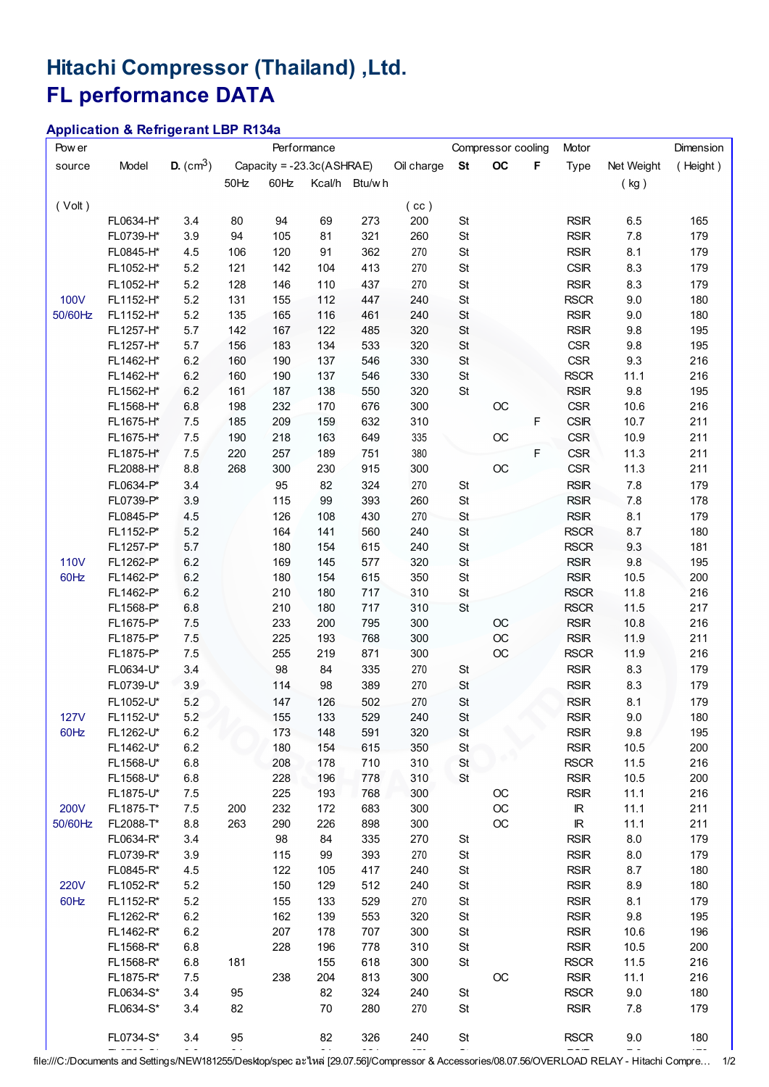## Hitachi Compressor (Thailand) ,Ltd. FL performance DATA

## Application & Refrigerant LBP R134a

| Pow er      |           |                    |                           | Performance |     | Compressor cooling |            |               | Motor       | Dimension   |                                   |            |          |
|-------------|-----------|--------------------|---------------------------|-------------|-----|--------------------|------------|---------------|-------------|-------------|-----------------------------------|------------|----------|
| source      | Model     | <b>D.</b> $(cm^3)$ | Capacity = -23.3c(ASHRAE) |             |     |                    | Oil charge | <b>St</b>     | OC          | F           | Type                              | Net Weight | (Height) |
|             |           |                    | $50$ Hz                   | 60Hz        |     | Kcal/h Btu/wh      |            |               |             |             |                                   | (kg)       |          |
|             |           |                    |                           |             |     |                    |            |               |             |             |                                   |            |          |
| (Volt)      |           |                    |                           |             |     |                    | (cc)       |               |             |             |                                   |            |          |
|             | FL0634-H* | 3.4                | 80                        | 94          | 69  | 273                | 200        | St            |             |             | <b>RSIR</b>                       | 6.5        | 165      |
|             | FL0739-H* | 3.9                | 94                        | 105         | 81  | 321                | 260        | St            |             |             | <b>RSIR</b>                       | 7.8        | 179      |
|             | FL0845-H* | 4.5                | 106                       | 120         | 91  | 362                | 270        | St            |             |             | <b>RSIR</b>                       | 8.1        | 179      |
|             | FL1052-H* | 5.2                | 121                       | 142         | 104 | 413                | 270        | $\mathsf{St}$ |             |             | <b>CSIR</b>                       | 8.3        | 179      |
|             | FL1052-H* | 5.2                | 128                       | 146         | 110 | 437                | 270        | St            |             |             | <b>RSIR</b>                       | 8.3        | 179      |
| <b>100V</b> | FL1152-H* | 5.2                | 131                       | 155         | 112 | 447                | 240        | St            |             |             | <b>RSCR</b>                       | 9.0        | 180      |
| 50/60Hz     | FL1152-H* | 5.2                | 135                       | 165         | 116 | 461                | 240        | St            |             |             | <b>RSIR</b>                       | 9.0        | 180      |
|             | FL1257-H* | 5.7                | 142                       | 167         | 122 | 485                | 320        | $\mathsf{St}$ |             |             | <b>RSIR</b>                       | 9.8        | 195      |
|             | FL1257-H* | 5.7                | 156                       | 183         | 134 | 533                | 320        | St            |             |             | <b>CSR</b>                        | 9.8        | 195      |
|             | FL1462-H* | 6.2                | 160                       | 190         | 137 | 546                | 330        | St            |             |             | <b>CSR</b>                        | 9.3        | 216      |
|             | FL1462-H* | 6.2                | 160                       | 190         | 137 | 546                | 330        | St            |             |             | <b>RSCR</b>                       | 11.1       | 216      |
|             | FL1562-H* | 6.2                | 161                       | 187         | 138 | 550                | 320        | St            |             |             | <b>RSIR</b>                       | 9.8        | 195      |
|             | FL1568-H* | 6.8                | 198                       | 232         | 170 | 676                | 300        |               | OC          |             | <b>CSR</b>                        | 10.6       | 216      |
|             | FL1675-H* | 7.5                | 185                       | 209         | 159 | 632                | 310        |               |             | F           | <b>CSIR</b>                       | 10.7       | 211      |
|             | FL1675-H* | 7.5                | 190                       | 218         | 163 | 649                | 335        |               | OC          |             | <b>CSR</b>                        | 10.9       | 211      |
|             | FL1875-H* | 7.5                | 220                       | 257         | 189 | 751                | 380        |               |             | $\mathsf F$ | <b>CSR</b>                        | 11.3       | 211      |
|             | FL2088-H* | 8.8                | 268                       | 300         | 230 | 915                | 300        |               | $_{\rm OC}$ |             | <b>CSR</b>                        | 11.3       | 211      |
|             | FL0634-P* |                    |                           | 95          | 82  | 324                | 270        |               |             |             | <b>RSIR</b>                       | 7.8        | 179      |
|             | FL0739-P* | 3.4<br>3.9         |                           | 115         | 99  | 393                | 260        | St<br>St      |             |             | <b>RSIR</b>                       |            | 178      |
|             |           |                    |                           |             |     |                    |            |               |             |             |                                   | $7.8$      |          |
|             | FL0845-P* | 4.5                |                           | 126         | 108 | 430                | 270        | St            |             |             | <b>RSIR</b>                       | 8.1        | 179      |
|             | FL1152-P* | 5.2                |                           | 164         | 141 | 560                | 240        | $\mathsf{St}$ |             |             | <b>RSCR</b>                       | 8.7        | 180      |
|             | FL1257-P* | 5.7                |                           | 180         | 154 | 615                | 240        | $\mathsf{St}$ |             |             | <b>RSCR</b>                       | 9.3        | 181      |
| <b>110V</b> | FL1262-P* | 6.2                |                           | 169         | 145 | 577                | 320        | St            |             |             | <b>RSIR</b>                       | 9.8        | 195      |
| 60Hz        | FL1462-P* | 6.2                |                           | 180         | 154 | 615                | 350        | St            |             |             | <b>RSIR</b>                       | 10.5       | 200      |
|             | FL1462-P* | 6.2                |                           | 210         | 180 | 717                | 310        | St            |             |             | <b>RSCR</b>                       | 11.8       | 216      |
|             | FL1568-P* | 6.8                |                           | 210         | 180 | 717                | 310        | St            |             |             | <b>RSCR</b>                       | 11.5       | 217      |
|             | FL1675-P* | 7.5                |                           | 233         | 200 | 795                | 300        |               | OC          |             | <b>RSIR</b>                       | 10.8       | 216      |
|             | FL1875-P* | 7.5                |                           | 225         | 193 | 768                | 300        |               | OC          |             | <b>RSIR</b>                       | 11.9       | 211      |
|             | FL1875-P* | 7.5                |                           | 255         | 219 | 871                | 300        |               | OC          |             | <b>RSCR</b>                       | 11.9       | 216      |
|             | FL0634-U* | 3.4                |                           | 98          | 84  | 335                | 270        | St            |             |             | <b>RSIR</b>                       | 8.3        | 179      |
|             | FL0739-U* | 3.9                |                           | 114         | 98  | 389                | 270        | St            |             |             | <b>RSIR</b>                       | 8.3        | 179      |
|             | FL1052-U* | 5.2                |                           | 147         | 126 | 502                | 270        | St            |             |             | <b>RSIR</b>                       | 8.1        | 179      |
| <b>127V</b> | FL1152-U* | 5.2                |                           | 155         | 133 | 529                | 240        | St            |             |             | RSIR                              | 9.0        | 180      |
| 60Hz        | FL1262-U* | 6.2                |                           | 173         | 148 | 591                | 320        | <b>St</b>     |             |             | <b>RSIR</b>                       | 9.8        | 195      |
|             | FL1462-U* | 6.2                |                           | 180         | 154 | 615                | 350        | St            |             |             | <b>RSIR</b>                       | 10.5       | 200      |
|             | FL1568-U* | 6.8                |                           | 208         | 178 | 710                | 310        | St            |             |             | <b>RSCR</b>                       | 11.5       | 216      |
|             | FL1568-U* | 6.8                |                           | 228         | 196 | 778                | 310        | St            |             |             | <b>RSIR</b>                       | 10.5       | 200      |
|             | FL1875-U* | 7.5                |                           | 225         | 193 | 768                | 300        |               | OC          |             | <b>RSIR</b>                       | 11.1       | 216      |
| 200V        | FL1875-T* | 7.5                | 200                       | 232         | 172 | 683                | 300        |               | OC          |             | $\ensuremath{\mathsf{IR}}\xspace$ | 11.1       | 211      |
| 50/60Hz     | FL2088-T* | 8.8                | 263                       | 290         | 226 | 898                | 300        |               | OC          |             | $\mathbb R$                       | 11.1       | 211      |
|             | FL0634-R* | 3.4                |                           | 98          | 84  | 335                | 270        | St            |             |             | <b>RSIR</b>                       | 8.0        | 179      |
|             | FL0739-R* | 3.9                |                           | 115         | 99  | 393                | 270        | <b>St</b>     |             |             | <b>RSIR</b>                       | 8.0        | 179      |
|             | FL0845-R* | 4.5                |                           | 122         | 105 | 417                | 240        | St            |             |             | <b>RSIR</b>                       | 8.7        | 180      |
| <b>220V</b> | FL1052-R* | 5.2                |                           | 150         | 129 | 512                | 240        | <b>St</b>     |             |             | <b>RSIR</b>                       | 8.9        | 180      |
| 60Hz        | FL1152-R* | 5.2                |                           | 155         | 133 | 529                | 270        | St            |             |             | <b>RSIR</b>                       | 8.1        | 179      |
|             | FL1262-R* | 6.2                |                           | 162         | 139 | 553                | 320        | St            |             |             | <b>RSIR</b>                       | 9.8        | 195      |
|             | FL1462-R* | 6.2                |                           | 207         | 178 | 707                | 300        | St            |             |             | <b>RSIR</b>                       | 10.6       | 196      |
|             | FL1568-R* | 6.8                |                           | 228         | 196 | 778                | 310        | St            |             |             | <b>RSIR</b>                       | 10.5       | 200      |
|             | FL1568-R* | 6.8                | 181                       |             | 155 | 618                | 300        | St            |             |             | <b>RSCR</b>                       | 11.5       | 216      |
|             | FL1875-R* | 7.5                |                           | 238         | 204 | 813                | 300        |               | OC          |             | <b>RSIR</b>                       | 11.1       | 216      |
|             | FL0634-S* | 3.4                | 95                        |             | 82  | 324                | 240        | <b>St</b>     |             |             | <b>RSCR</b>                       | 9.0        | 180      |
|             | FL0634-S* | 3.4                | 82                        |             | 70  | 280                | 270        | <b>St</b>     |             |             | <b>RSIR</b>                       | 7.8        | 179      |
|             |           |                    |                           |             |     |                    |            |               |             |             |                                   |            |          |
|             | FL0734-S* | 3.4                | 95                        |             | 82  | 326                | 240        | St            |             |             | <b>RSCR</b>                       | 9.0        | 180      |
|             |           |                    |                           |             |     |                    |            |               |             |             |                                   |            |          |